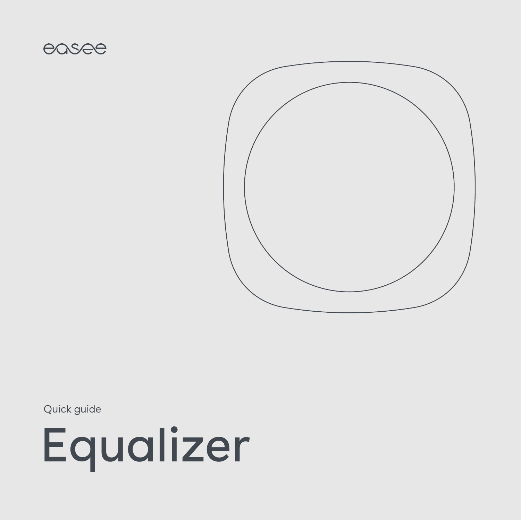

Quick guide

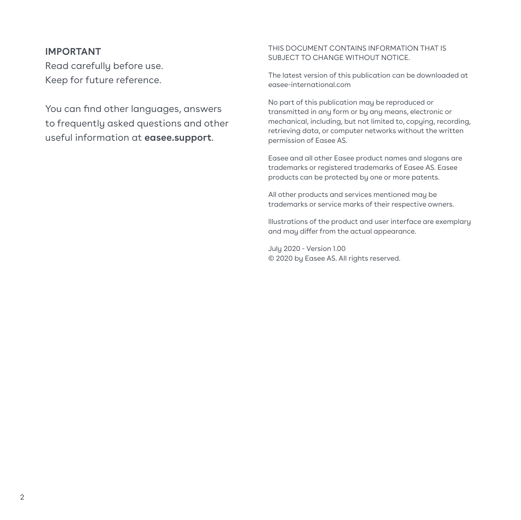#### **IMPORTANT**

Read carefully before use. Keep for future reference.

You can find other languages, answers to frequently asked questions and other useful information at **easee.support**.

#### THIS DOCUMENT CONTAINS INFORMATION THAT IS SUBJECT TO CHANGE WITHOUT NOTICE.

The latest version of this publication can be downloaded at easee-international.com

No part of this publication may be reproduced or transmitted in any form or by any means, electronic or mechanical, including, but not limited to, copying, recording, retrieving data, or computer networks without the written permission of Easee AS.

Easee and all other Easee product names and slogans are trademarks or registered trademarks of Easee AS. Easee products can be protected by one or more patents.

All other products and services mentioned may be trademarks or service marks of their respective owners.

Illustrations of the product and user interface are exemplary and may differ from the actual appearance.

July 2020 - Version 1.00 © 2020 by Easee AS. All rights reserved.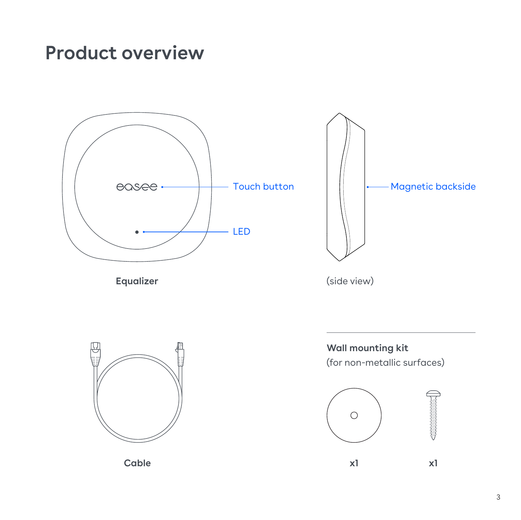## **Product overview**





**Wall mounting kit** (for non-metallic surfaces)

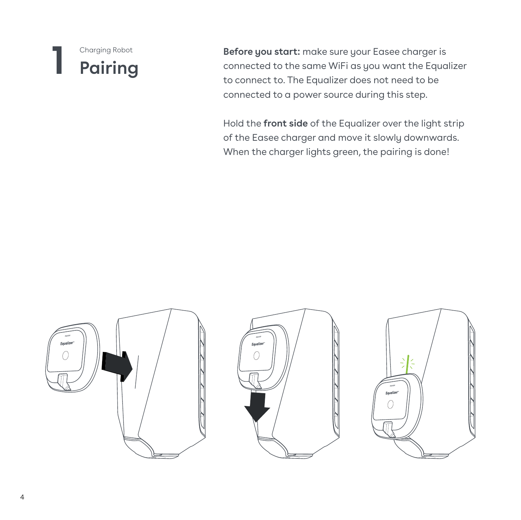### **1 Pairing** Charging Robot

**Before you start:** make sure your Easee charger is connected to the same WiFi as you want the Equalizer to connect to. The Equalizer does not need to be connected to a power source during this step.

Hold the **front side** of the Equalizer over the light strip of the Easee charger and move it slowly downwards. When the charger lights green, the pairing is done!





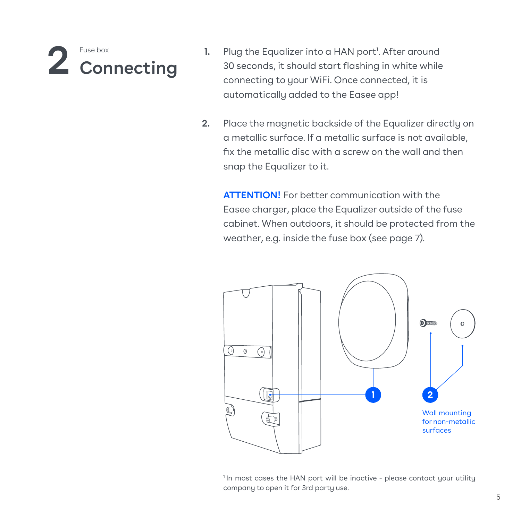

- Plug the Equalizer into a HAN port<sup>1</sup>. After around 30 seconds, it should start flashing in white while connecting to your WiFi. Once connected, it is automatically added to the Easee app!
- Place the magnetic backside of the Equalizer directly on **2.** a metallic surface. If a metallic surface is not available, fix the metallic disc with a screw on the wall and then snap the Equalizer to it.

**ATTENTION!** For better communication with the Easee charger, place the Equalizer outside of the fuse cabinet. When outdoors, it should be protected from the weather, e.g. inside the fuse box (see page 7).



<sup>&</sup>lt;sup>1</sup>In most cases the HAN port will be inactive - please contact your utility company to open it for 3rd party use.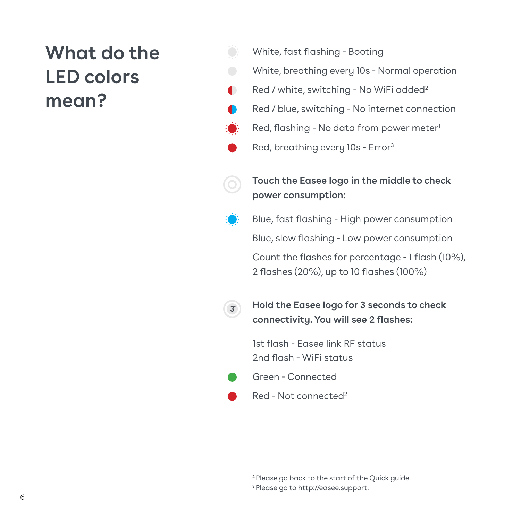# **What do the LED colors mean?**

- White, fast flashing Booting
- White, breathing every 10s Normal operation
- Red / white, switching No WiFi added<sup>2</sup>  $\blacksquare$ 
	- Red / blue, switching No internet connection
		- Red, flashing No data from power meter<sup>1</sup>
	- Red, breathing every 10s Error3



**3**''

**Touch the Easee logo in the middle to check power consumption:**

Blue, fast flashing - High power consumption Blue, slow flashing - Low power consumption Count the flashes for percentage - 1 flash (10%), 2 flashes (20%), up to 10 flashes (100%)

**Hold the Easee logo for 3 seconds to check connectivity. You will see 2 flashes:**

1st flash - Easee link RF status 2nd flash - WiFi status



Red - Not connected2

**<sup>2</sup>**Please go back to the start of the Quick guide. **<sup>3</sup>**Please go to <http://easee.support>.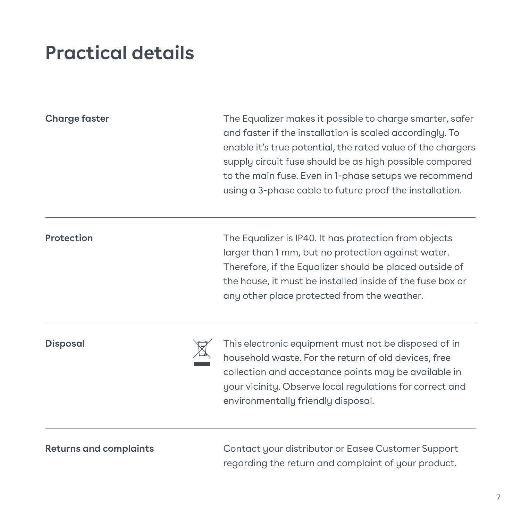# **Practical details**

| Charge faster   | The Equalizer makes it possible to charge smarter, safer<br>and faster if the installation is scaled accordingly. To<br>enable it's true potential, the rated value of the chargers<br>supply circuit fuse should be as high possible compared<br>to the main fuse. Even in 1-phase setups we recommend<br>using a 3-phase cable to future proof the installation. |
|-----------------|--------------------------------------------------------------------------------------------------------------------------------------------------------------------------------------------------------------------------------------------------------------------------------------------------------------------------------------------------------------------|
| Protection      | The Equalizer is IP40. It has protection from objects<br>larger than 1 mm, but no protection against water.<br>Therefore, if the Equalizer should be placed outside of<br>the house, it must be installed inside of the fuse box or<br>any other place protected from the weather.                                                                                 |
| <b>Disposal</b> | This electronic equipment must not be disposed of in<br>household waste. For the return of old devices, free<br>collection and acceptance points may be available in<br>your vicinity. Observe local regulations for correct and<br>environmentally friendly disposal.                                                                                             |

**Returns and complaints**

Contact your distributor or Easee Customer Support regarding the return and complaint of your product.